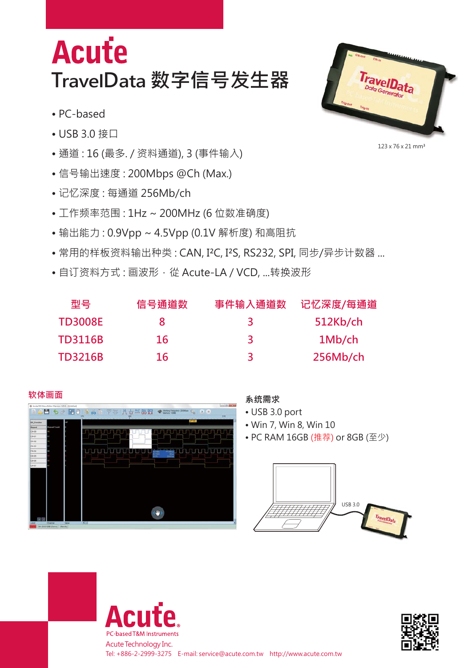## **Acute TravelData 数字信号发生器**

- PC-based
- USB 3.0 接口
- 通道 : 16 (最多. / 资料通道), 3 (事件输入)
- 信号输出速度 : 200Mbps @Ch (Max.)
- 记忆深度 : 每通道 256Mb/ch
- 工作频率范围 : 1Hz ~ 200MHz (6 位数准确度)
- 输出能力 : 0.9Vpp ~ 4.5Vpp (0.1V 解析度) 和高阻抗
- 常用的样板资料输出种类: CAN, I<sup>2</sup>C, I<sup>2</sup>S, RS232, SPI, 同步/异步计数器 ...
- 自订资料方式:画波形,從 Acute-LA / VCD, ...转换波形

| 型묵             | 信号通道数 | 事件输入通道数 | 记忆深度/每通道 |
|----------------|-------|---------|----------|
| <b>TD3008E</b> |       |         | 512Kb/ch |
| <b>TD3116B</b> | 16    | 3       | 1Mb/ch   |
| <b>TD3216B</b> | 16    | ₹       | 256Mb/ch |



- USB 3.0 port
- Win 7, Win 8, Win 10
- PC RAM 16GB (推荐) or 8GB (至少)